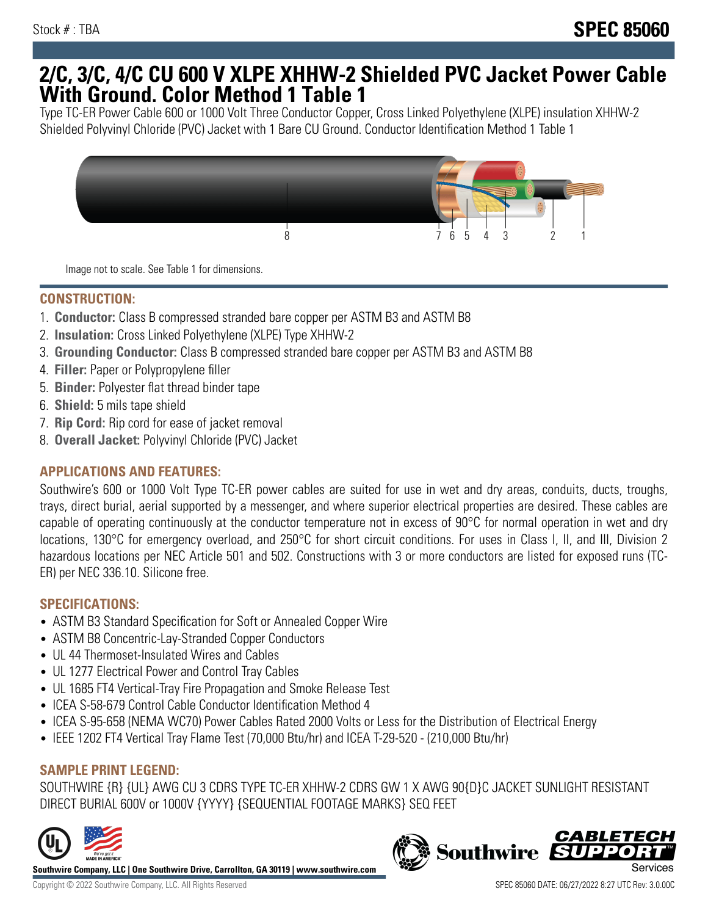## **2/C, 3/C, 4/C CU 600 V XLPE XHHW-2 Shielded PVC Jacket Power Cable With Ground. Color Method 1 Table 1**

Type TC-ER Power Cable 600 or 1000 Volt Three Conductor Copper, Cross Linked Polyethylene (XLPE) insulation XHHW-2 Shielded Polyvinyl Chloride (PVC) Jacket with 1 Bare CU Ground. Conductor Identification Method 1 Table 1



Image not to scale. See Table 1 for dimensions.

#### **CONSTRUCTION:**

- 1. **Conductor:** Class B compressed stranded bare copper per ASTM B3 and ASTM B8
- 2. **Insulation:** Cross Linked Polyethylene (XLPE) Type XHHW-2
- 3. **Grounding Conductor:** Class B compressed stranded bare copper per ASTM B3 and ASTM B8
- 4. **Filler:** Paper or Polypropylene filler
- 5. **Binder:** Polyester flat thread binder tape
- 6. **Shield:** 5 mils tape shield
- 7. **Rip Cord:** Rip cord for ease of jacket removal
- 8. **Overall Jacket:** Polyvinyl Chloride (PVC) Jacket

## **APPLICATIONS AND FEATURES:**

Southwire's 600 or 1000 Volt Type TC-ER power cables are suited for use in wet and dry areas, conduits, ducts, troughs, trays, direct burial, aerial supported by a messenger, and where superior electrical properties are desired. These cables are capable of operating continuously at the conductor temperature not in excess of 90°C for normal operation in wet and dry locations, 130°C for emergency overload, and 250°C for short circuit conditions. For uses in Class I, II, and III, Division 2 hazardous locations per NEC Article 501 and 502. Constructions with 3 or more conductors are listed for exposed runs (TC-ER) per NEC 336.10. Silicone free.

#### **SPECIFICATIONS:**

- ASTM B3 Standard Specification for Soft or Annealed Copper Wire
- ASTM B8 Concentric-Lay-Stranded Copper Conductors
- UL 44 Thermoset-Insulated Wires and Cables
- UL 1277 Electrical Power and Control Tray Cables
- UL 1685 FT4 Vertical-Tray Fire Propagation and Smoke Release Test
- ICEA S-58-679 Control Cable Conductor Identification Method 4
- ICEA S-95-658 (NEMA WC70) Power Cables Rated 2000 Volts or Less for the Distribution of Electrical Energy
- IEEE 1202 FT4 Vertical Tray Flame Test (70,000 Btu/hr) and ICEA T-29-520 (210,000 Btu/hr)

## **SAMPLE PRINT LEGEND:**

SOUTHWIRE {R} {UL} AWG CU 3 CDRS TYPE TC-ER XHHW-2 CDRS GW 1 X AWG 90{D}C JACKET SUNLIGHT RESISTANT DIRECT BURIAL 600V or 1000V {YYYY} {SEQUENTIAL FOOTAGE MARKS} SEQ FEET



**Southwire Company, LLC | One Southwire Drive, Carrollton, GA 30119 | www.southwire.com**